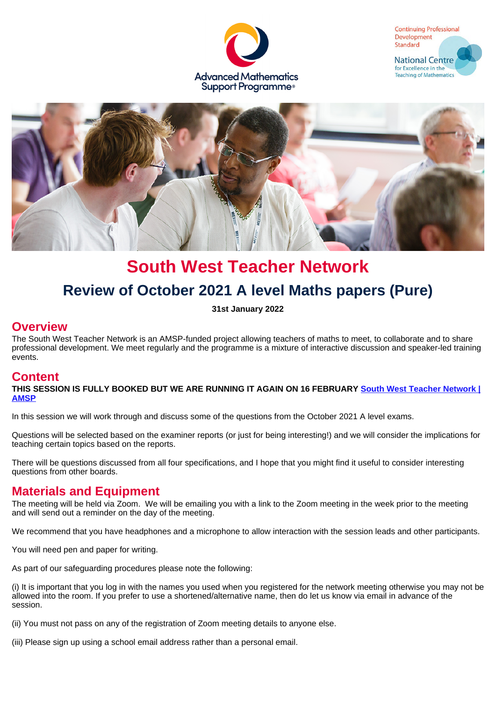





# **South West Teacher Network Review of October 2021 A level Maths papers (Pure)**

**31st January 2022**

#### **Overview**

The South West Teacher Network is an AMSP-funded project allowing teachers of maths to meet, to collaborate and to share professional development. We meet regularly and the programme is a mixture of interactive discussion and speaker-led training events.

#### **Content**

**THIS SESSION IS FULLY BOOKED BUT WE ARE RUNNING IT AGAIN ON 16 FEBRUARY [South West Teacher Network |](https://amsp.org.uk/events/details/9568) [AMSP](https://amsp.org.uk/events/details/9568)**

In this session we will work through and discuss some of the questions from the October 2021 A level exams.

Questions will be selected based on the examiner reports (or just for being interesting!) and we will consider the implications for teaching certain topics based on the reports.

There will be questions discussed from all four specifications, and I hope that you might find it useful to consider interesting questions from other boards.

#### **Materials and Equipment**

The meeting will be held via Zoom. We will be emailing you with a link to the Zoom meeting in the week prior to the meeting and will send out a reminder on the day of the meeting.

We recommend that you have headphones and a microphone to allow interaction with the session leads and other participants.

You will need pen and paper for writing.

As part of our safeguarding procedures please note the following:

(i) It is important that you log in with the names you used when you registered for the network meeting otherwise you may not be allowed into the room. If you prefer to use a shortened/alternative name, then do let us know via email in advance of the session.

(ii) You must not pass on any of the registration of Zoom meeting details to anyone else.

(iii) Please sign up using a school email address rather than a personal email.